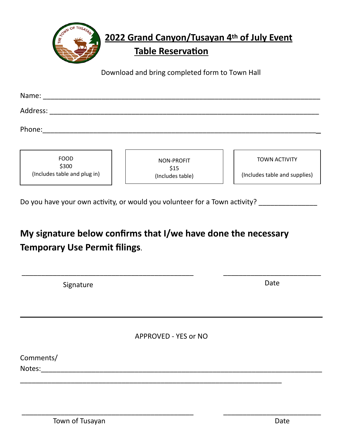

Download and bring completed form to Town Hall

| Name:                                                |                                        |                                                       |
|------------------------------------------------------|----------------------------------------|-------------------------------------------------------|
| Address:                                             |                                        |                                                       |
| Phone:                                               |                                        |                                                       |
| <b>FOOD</b><br>\$300<br>(Includes table and plug in) | NON-PROFIT<br>\$15<br>(Includes table) | <b>TOWN ACTIVITY</b><br>(Includes table and supplies) |

Do you have your own activity, or would you volunteer for a Town activity? \_\_\_\_\_\_\_\_\_\_\_\_

## **My signature below confirms that I/we have done the necessary Temporary Use Permit filings**.

| Signature            | Date |
|----------------------|------|
|                      |      |
| APPROVED - YES or NO |      |
| Comments/<br>Notes:  |      |

\_\_\_\_\_\_\_\_\_\_\_\_\_\_\_\_\_\_\_\_\_\_\_\_\_\_\_\_\_\_\_\_\_\_\_\_\_\_\_\_\_\_\_\_ \_\_\_\_\_\_\_\_\_\_\_\_\_\_\_\_\_\_\_\_\_\_\_\_\_